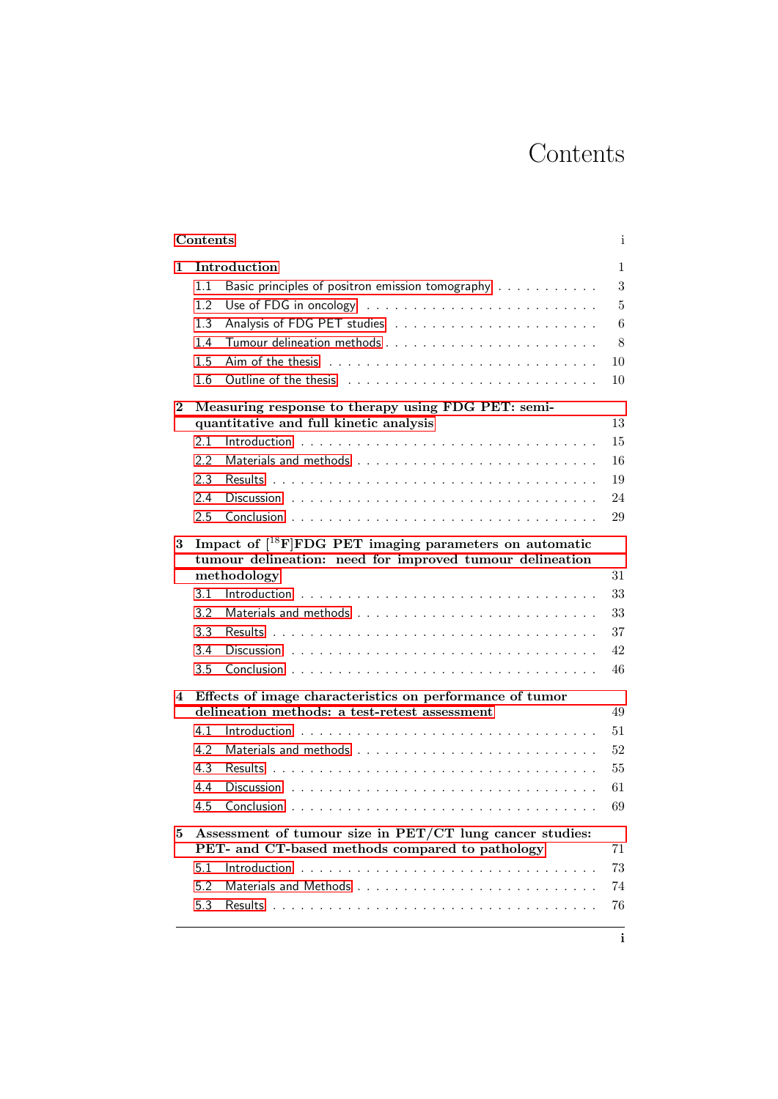## Contents

<span id="page-0-0"></span>

|                              |                                                                                                                                                | Contents                                                                                                    |          |  |  |
|------------------------------|------------------------------------------------------------------------------------------------------------------------------------------------|-------------------------------------------------------------------------------------------------------------|----------|--|--|
| 1                            | Introduction                                                                                                                                   |                                                                                                             |          |  |  |
|                              | 1.1                                                                                                                                            | Basic principles of positron emission tomography                                                            |          |  |  |
|                              | 1.2                                                                                                                                            |                                                                                                             |          |  |  |
|                              | 1.3                                                                                                                                            |                                                                                                             |          |  |  |
|                              | 1.4                                                                                                                                            |                                                                                                             |          |  |  |
|                              | 1.5                                                                                                                                            |                                                                                                             |          |  |  |
|                              | 1.6                                                                                                                                            |                                                                                                             | 10       |  |  |
| $\bf{2}$                     | Measuring response to therapy using FDG PET: semi-                                                                                             |                                                                                                             |          |  |  |
|                              |                                                                                                                                                | quantitative and full kinetic analysis                                                                      |          |  |  |
|                              | 2.1                                                                                                                                            |                                                                                                             | 15       |  |  |
|                              | 2.2                                                                                                                                            |                                                                                                             | 16       |  |  |
|                              | 2.3                                                                                                                                            |                                                                                                             | 19       |  |  |
|                              | 2.4                                                                                                                                            |                                                                                                             | 24       |  |  |
|                              | 2.5                                                                                                                                            |                                                                                                             | 29       |  |  |
| 3                            | Impact of [ <sup>18</sup> F]FDG PET imaging parameters on automatic<br>tumour delineation: need for improved tumour delineation<br>methodology |                                                                                                             |          |  |  |
|                              | 3.1                                                                                                                                            |                                                                                                             | 31<br>33 |  |  |
|                              | 3.2                                                                                                                                            |                                                                                                             | 33       |  |  |
|                              | 3.3                                                                                                                                            |                                                                                                             | 37       |  |  |
|                              | 3.4                                                                                                                                            |                                                                                                             | 42       |  |  |
|                              | 3.5                                                                                                                                            |                                                                                                             | 46       |  |  |
|                              |                                                                                                                                                |                                                                                                             |          |  |  |
|                              |                                                                                                                                                |                                                                                                             |          |  |  |
|                              |                                                                                                                                                | Effects of image characteristics on performance of tumor<br>delineation methods: a test-retest assessment   | 49       |  |  |
|                              | 4.1                                                                                                                                            |                                                                                                             | 51       |  |  |
|                              | 4.2                                                                                                                                            |                                                                                                             | 52       |  |  |
|                              | 4.3                                                                                                                                            |                                                                                                             | 55       |  |  |
|                              | 44                                                                                                                                             |                                                                                                             |          |  |  |
|                              | 4.5                                                                                                                                            |                                                                                                             |          |  |  |
|                              |                                                                                                                                                | Assessment of tumour size in PET/CT lung cancer studies:<br>PET- and CT-based methods compared to pathology |          |  |  |
|                              | 5.1                                                                                                                                            |                                                                                                             |          |  |  |
| $\overline{\mathbf{4}}$<br>5 | 5.2                                                                                                                                            |                                                                                                             | 61<br>69 |  |  |